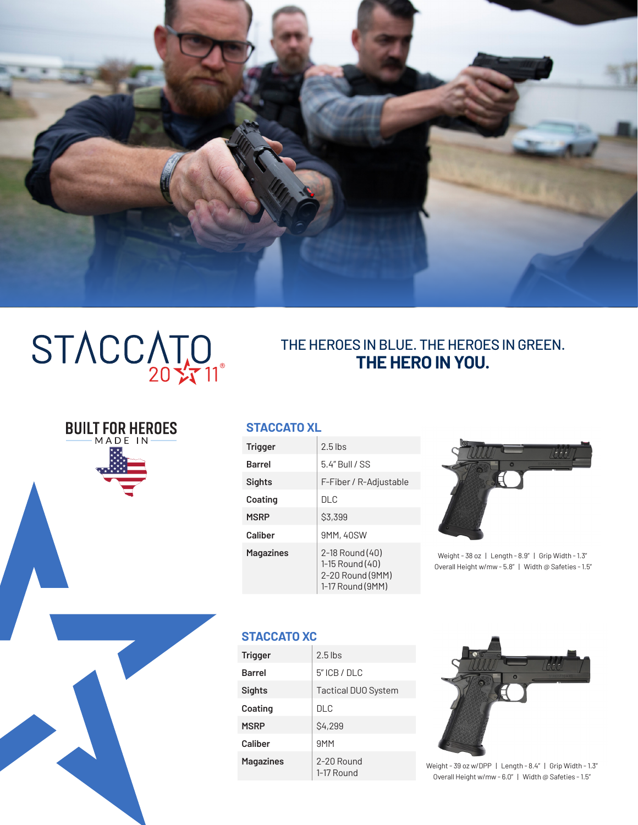

# STACCATO

**BUILT FOR HEROES** 

# THE HEROES IN BLUE. THE HEROES IN GREEN. **THE HERO IN YOU.**

#### **STACCATO XL**

| <b>Trigger</b>   | $2.5$ lbs                                                                  |
|------------------|----------------------------------------------------------------------------|
| <b>Barrel</b>    | $5.4"$ Bull / SS                                                           |
| Sights           | F-Fiber / R-Adjustable                                                     |
| Coating          | DI C                                                                       |
| <b>MSRP</b>      | <b>S3,399</b>                                                              |
| Caliber          | 9MM, 40SW                                                                  |
| <b>Magazines</b> | 2-18 Round (40)<br>1-15 Round (40)<br>2-20 Round (9MM)<br>1-17 Round (9MM) |



Weight - 38 oz | Length - 8.9" | Grip Width - 1.3" Overall Height w/mw - 5.8" | Width @ Safeties - 1.5"

## **STACCATO XC**

| <b>Trigger</b>   | $2.5$ lbs                  |
|------------------|----------------------------|
| <b>Barrel</b>    | $5"$ ICB / DLC             |
| Sights           | <b>Tactical DUO System</b> |
| Coating          | <b>DLC</b>                 |
| <b>MSRP</b>      | <b>\$4,299</b>             |
| Caliber          | 9 <sub>MM</sub>            |
| <b>Magazines</b> | 2-20 Round<br>1-17 Round   |



Weight - 39 oz w/DPP | Length - 8.4" | Grip Width - 1.3" Overall Height w/mw - 6.0" | Width @ Safeties - 1.5"